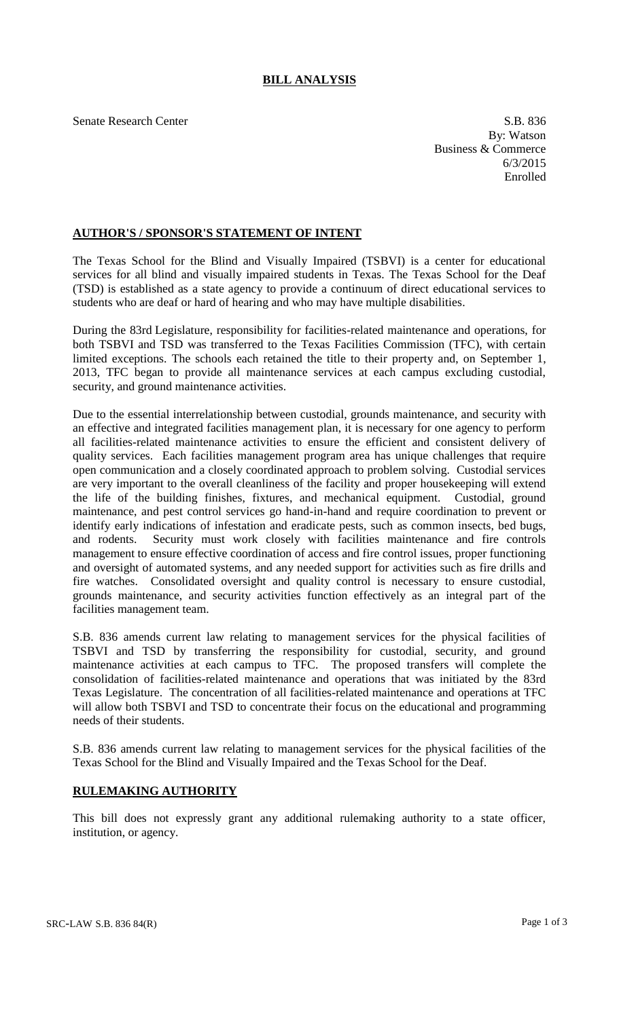## **BILL ANALYSIS**

Senate Research Center S.B. 836 By: Watson Business & Commerce 6/3/2015 Enrolled

## **AUTHOR'S / SPONSOR'S STATEMENT OF INTENT**

The Texas School for the Blind and Visually Impaired (TSBVI) is a center for educational services for all blind and visually impaired students in Texas. The Texas School for the Deaf (TSD) is established as a state agency to provide a continuum of direct educational services to students who are deaf or hard of hearing and who may have multiple disabilities.

During the 83rd Legislature, responsibility for facilities-related maintenance and operations, for both TSBVI and TSD was transferred to the Texas Facilities Commission (TFC), with certain limited exceptions. The schools each retained the title to their property and, on September 1, 2013, TFC began to provide all maintenance services at each campus excluding custodial, security, and ground maintenance activities.

Due to the essential interrelationship between custodial, grounds maintenance, and security with an effective and integrated facilities management plan, it is necessary for one agency to perform all facilities-related maintenance activities to ensure the efficient and consistent delivery of quality services. Each facilities management program area has unique challenges that require open communication and a closely coordinated approach to problem solving. Custodial services are very important to the overall cleanliness of the facility and proper housekeeping will extend the life of the building finishes, fixtures, and mechanical equipment. Custodial, ground maintenance, and pest control services go hand-in-hand and require coordination to prevent or identify early indications of infestation and eradicate pests, such as common insects, bed bugs, and rodents. Security must work closely with facilities maintenance and fire controls management to ensure effective coordination of access and fire control issues, proper functioning and oversight of automated systems, and any needed support for activities such as fire drills and fire watches. Consolidated oversight and quality control is necessary to ensure custodial, grounds maintenance, and security activities function effectively as an integral part of the facilities management team.

S.B. 836 amends current law relating to management services for the physical facilities of TSBVI and TSD by transferring the responsibility for custodial, security, and ground maintenance activities at each campus to TFC. The proposed transfers will complete the consolidation of facilities-related maintenance and operations that was initiated by the 83rd Texas Legislature. The concentration of all facilities-related maintenance and operations at TFC will allow both TSBVI and TSD to concentrate their focus on the educational and programming needs of their students.

S.B. 836 amends current law relating to management services for the physical facilities of the Texas School for the Blind and Visually Impaired and the Texas School for the Deaf.

## **RULEMAKING AUTHORITY**

This bill does not expressly grant any additional rulemaking authority to a state officer, institution, or agency.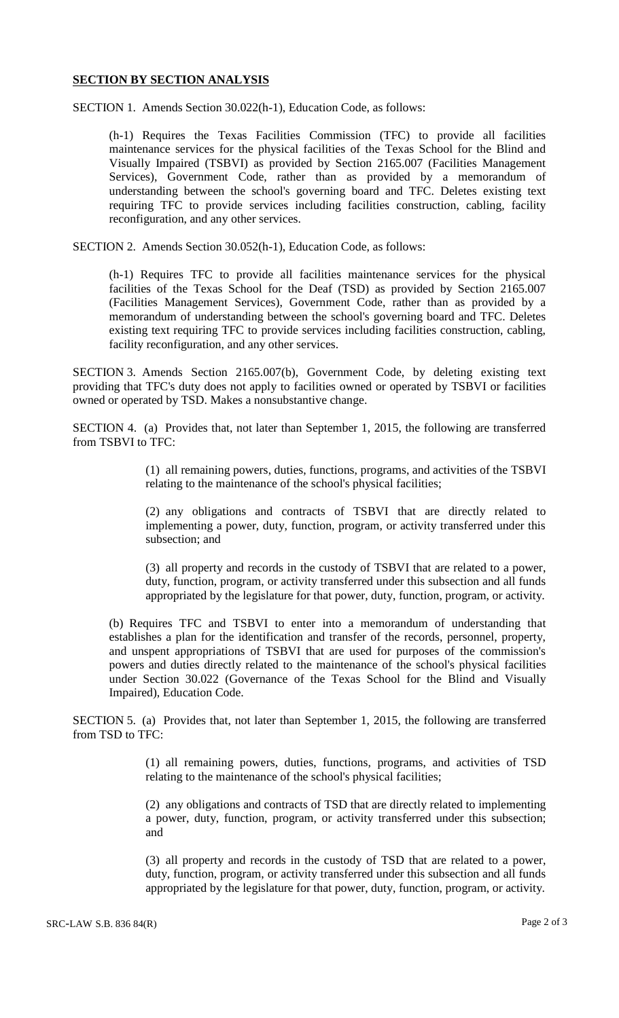## **SECTION BY SECTION ANALYSIS**

SECTION 1. Amends Section 30.022(h-1), Education Code, as follows:

(h-1) Requires the Texas Facilities Commission (TFC) to provide all facilities maintenance services for the physical facilities of the Texas School for the Blind and Visually Impaired (TSBVI) as provided by Section 2165.007 (Facilities Management Services), Government Code, rather than as provided by a memorandum of understanding between the school's governing board and TFC. Deletes existing text requiring TFC to provide services including facilities construction, cabling, facility reconfiguration, and any other services.

SECTION 2. Amends Section 30.052(h-1), Education Code, as follows:

(h-1) Requires TFC to provide all facilities maintenance services for the physical facilities of the Texas School for the Deaf (TSD) as provided by Section 2165.007 (Facilities Management Services), Government Code, rather than as provided by a memorandum of understanding between the school's governing board and TFC. Deletes existing text requiring TFC to provide services including facilities construction, cabling, facility reconfiguration, and any other services.

SECTION 3. Amends Section 2165.007(b), Government Code, by deleting existing text providing that TFC's duty does not apply to facilities owned or operated by TSBVI or facilities owned or operated by TSD. Makes a nonsubstantive change.

SECTION 4. (a) Provides that, not later than September 1, 2015, the following are transferred from TSBVI to TFC:

> (1) all remaining powers, duties, functions, programs, and activities of the TSBVI relating to the maintenance of the school's physical facilities;

> (2) any obligations and contracts of TSBVI that are directly related to implementing a power, duty, function, program, or activity transferred under this subsection; and

> (3) all property and records in the custody of TSBVI that are related to a power, duty, function, program, or activity transferred under this subsection and all funds appropriated by the legislature for that power, duty, function, program, or activity.

(b) Requires TFC and TSBVI to enter into a memorandum of understanding that establishes a plan for the identification and transfer of the records, personnel, property, and unspent appropriations of TSBVI that are used for purposes of the commission's powers and duties directly related to the maintenance of the school's physical facilities under Section 30.022 (Governance of the Texas School for the Blind and Visually Impaired), Education Code.

SECTION 5. (a) Provides that, not later than September 1, 2015, the following are transferred from TSD to TFC:

> (1) all remaining powers, duties, functions, programs, and activities of TSD relating to the maintenance of the school's physical facilities;

> (2) any obligations and contracts of TSD that are directly related to implementing a power, duty, function, program, or activity transferred under this subsection; and

> (3) all property and records in the custody of TSD that are related to a power, duty, function, program, or activity transferred under this subsection and all funds appropriated by the legislature for that power, duty, function, program, or activity.